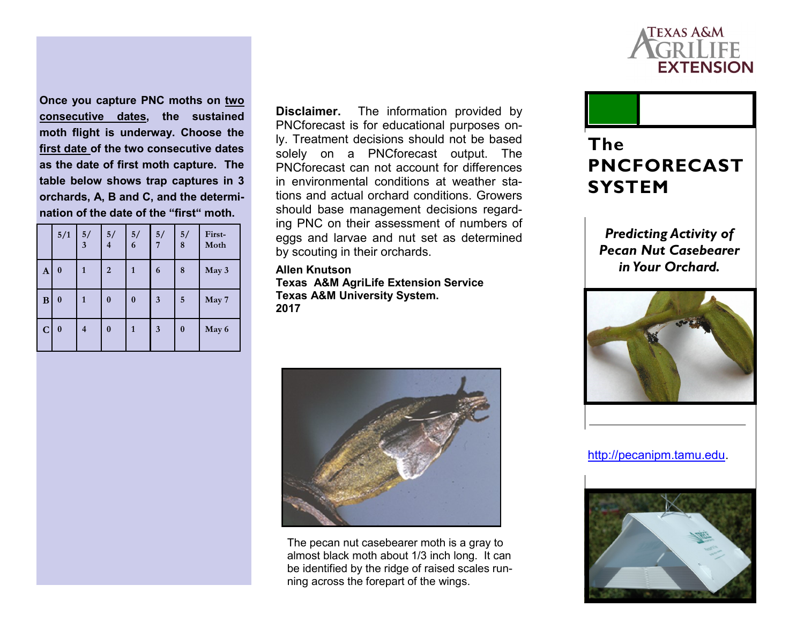

**Once you capture PNC moths on two consecutive dates, the sustained moth flight is underway. Choose the first date of the two consecutive dates as the date of first moth capture. The table below shows trap captures in 3 orchards, A, B and C, and the determination of the date of the "first" moth.** 

|              | 5/1              | 5/<br>$\overline{\mathbf{3}}$ | 5/<br>$\overline{\mathbf{4}}$ | 5/<br>6      | 5/<br>7                 | 5/<br>$\bf{8}$ | First-<br>Moth |
|--------------|------------------|-------------------------------|-------------------------------|--------------|-------------------------|----------------|----------------|
| $\mathbf{A}$ | $\boldsymbol{0}$ | 1                             | $\overline{2}$                | $\mathbf{1}$ | 6                       | 8              | May 3          |
| B            | $\bf{0}$         | $\mathbf{1}$                  | $\bf{0}$                      | $\bf{0}$     | $\overline{\mathbf{3}}$ | 5              | May 7          |
| $\mathbf C$  | $\bf{0}$         | $\overline{\mathcal{A}}$      | 0                             | 1            | $\overline{\mathbf{3}}$ | $\bf{0}$       | May 6          |

**Disclaimer.** The information provided by PNCforecast is for educational purposes only. Treatment decisions should not be based solely on a PNCforecast output. The PNCforecast can not account for differences in environmental conditions at weather stations and actual orchard conditions. Growers should base management decisions regarding PNC on their assessment of numbers of eggs and larvae and nut set as determined by scouting in their orchards.

**Allen Knutson Texas A&M AgriLife Extension Service Texas A&M University System. 2017**



The pecan nut casebearer moth is a gray to almost black moth about 1/3 inch long. It can be identified by the ridge of raised scales running across the forepart of the wings.



*Predicting Activity of Pecan Nut Casebearer in Your Orchard.*



[http://pecanipm.tamu.edu.](http://pecanipm.tamu.edu)